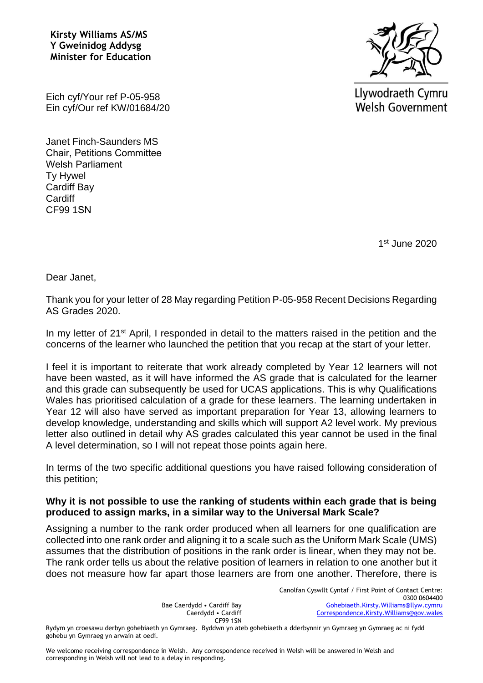**Kirsty Williams AS/MS Y Gweinidog Addysg Minister for Education**



Llywodraeth Cymru **Welsh Government** 

Eich cyf/Your ref P-05-958 Ein cyf/Our ref KW/01684/20

Janet Finch-Saunders MS Chair, Petitions Committee Welsh Parliament Ty Hywel Cardiff Bay **Cardiff** CF99 1SN

1 st June 2020

Dear Janet,

Thank you for your letter of 28 May regarding Petition P-05-958 Recent Decisions Regarding AS Grades 2020.

In my letter of 21<sup>st</sup> April, I responded in detail to the matters raised in the petition and the concerns of the learner who launched the petition that you recap at the start of your letter.

I feel it is important to reiterate that work already completed by Year 12 learners will not have been wasted, as it will have informed the AS grade that is calculated for the learner and this grade can subsequently be used for UCAS applications. This is why Qualifications Wales has prioritised calculation of a grade for these learners. The learning undertaken in Year 12 will also have served as important preparation for Year 13, allowing learners to develop knowledge, understanding and skills which will support A2 level work. My previous letter also outlined in detail why AS grades calculated this year cannot be used in the final A level determination, so I will not repeat those points again here.

In terms of the two specific additional questions you have raised following consideration of this petition;

## **Why it is not possible to use the ranking of students within each grade that is being produced to assign marks, in a similar way to the Universal Mark Scale?**

Assigning a number to the rank order produced when all learners for one qualification are collected into one rank order and aligning it to a scale such as the Uniform Mark Scale (UMS) assumes that the distribution of positions in the rank order is linear, when they may not be. The rank order tells us about the relative position of learners in relation to one another but it does not measure how far apart those learners are from one another. Therefore, there is

> Canolfan Cyswllt Cyntaf / First Point of Contact Centre: 0300 0604400 [Gohebiaeth.Kirsty.Williams@llyw.cymru](mailto:Gohebiaeth.Kirsty.Williams@llyw.cymru)  [Correspondence.Kirsty.Williams@gov.wales](mailto:Correspondence.Kirsty.Williams@gov.wales)

Bae Caerdydd • Cardiff Bay Caerdydd • Cardiff CF99 1SN

Rydym yn croesawu derbyn gohebiaeth yn Gymraeg. Byddwn yn ateb gohebiaeth a dderbynnir yn Gymraeg yn Gymraeg ac ni fydd gohebu yn Gymraeg yn arwain at oedi.